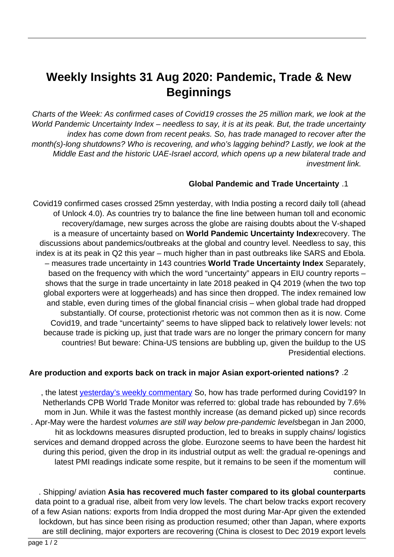# **Weekly Insights 31 Aug 2020: Pandemic, Trade & New Beginnings**

Charts of the Week: As confirmed cases of Covid 19 crosses the 25 million mark, we look at the World Pandemic Uncertainty Index – needless to say, it is at its peak. But, the trade uncertainty index has come down from recent peaks. So, has trade managed to recover after the month(s)-long shutdowns? Who is recovering, and who's lagging behind? Lastly, we look at the Middle East and the historic UAE-Israel accord, which opens up a new bilateral trade and investment link.

### **Global Pandemic and Trade Uncertainty .1**

Covid19 confirmed cases crossed 25mn yesterday, with India posting a record daily toll (ahead of Unlock 4.0). As countries try to balance the fine line between human toll and economic recovery/damage, new surges across the globe are raising doubts about the V-shaped is a measure of uncertainty based on World Pandemic Uncertainty Indexrecovery. The discussions about pandemics/outbreaks at the global and country level. Needless to say, this index is at its peak in Q2 this year – much higher than in past outbreaks like SARS and Ebola. - measures trade uncertainty in 143 countries World Trade Uncertainty Index Separately, based on the frequency with which the word "uncertainty" appears in EIU country reports shows that the surge in trade uncertainty in late 2018 peaked in Q4 2019 (when the two top global exporters were at loggerheads) and has since then dropped. The index remained low and stable, even during times of the global financial crisis – when global trade had dropped substantially. Of course, protectionist rhetoric was not common then as it is now. Come Covid19, and trade "uncertainty" seems to have slipped back to relatively lower levels: not because trade is picking up, just that trade wars are no longer the primary concern for many countries! But beware: China-US tensions are bubbling up, given the buildup to the US Presidential elections.

### Are production and exports back on track in major Asian export-oriented nations? .2

the latest vesterday's weekly commentary So, how has trade performed during Covid19? In Netherlands CPB World Trade Monitor was referred to: global trade has rebounded by 7.6% mom in Jun. While it was the fastest monthly increase (as demand picked up) since records . Apr-May were the hardest volumes are still way below pre-pandemic levelsbegan in Jan 2000, hit as lockdowns measures disrupted production, led to breaks in supply chains/ logistics services and demand dropped across the globe. Eurozone seems to have been the hardest hit during this period, given the drop in its industrial output as well: the gradual re-openings and latest PMI readings indicate some respite, but it remains to be seen if the momentum will .continue

. Shipping/ aviation Asia has recovered much faster compared to its global counterparts data point to a gradual rise, albeit from very low levels. The chart below tracks export recovery of a few Asian nations: exports from India dropped the most during Mar-Apr given the extended lockdown, but has since been rising as production resumed; other than Japan, where exports are still declining, major exporters are recovering (China is closest to Dec 2019 export levels